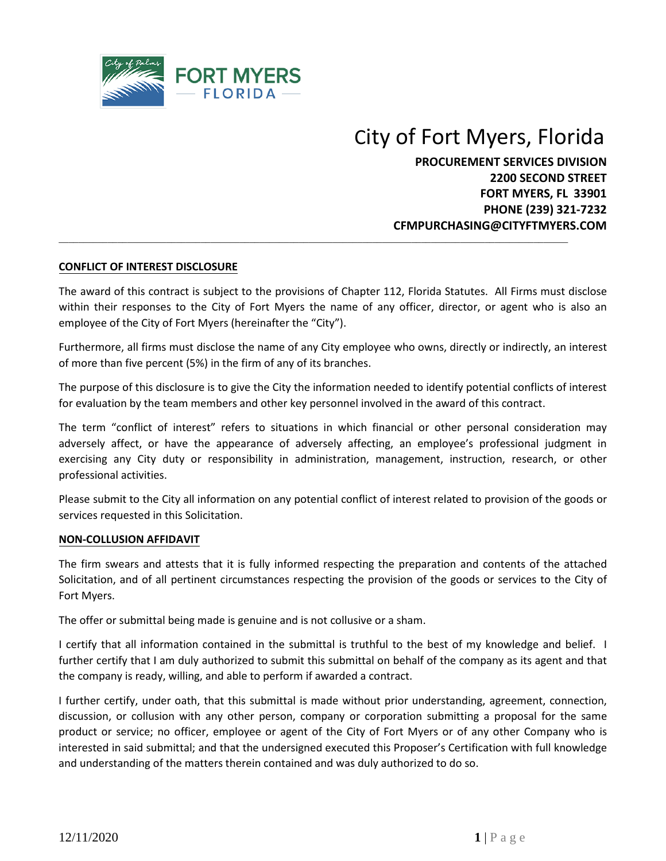

# City of Fort Myers, Florida

**PROCUREMENT SERVICES DIVISION 2200 SECOND STREET FORT MYERS, FL 33901 PHONE (239) 321-7232 CFMPURCHASING@CITYFTMYERS.COM**

# **CONFLICT OF INTEREST DISCLOSURE**

The award of this contract is subject to the provisions of Chapter 112, Florida Statutes. All Firms must disclose within their responses to the City of Fort Myers the name of any officer, director, or agent who is also an employee of the City of Fort Myers (hereinafter the "City").

 $\mathcal{L}_\mathcal{L} = \{ \mathcal{L}_\mathcal{L} = \{ \mathcal{L}_\mathcal{L} = \{ \mathcal{L}_\mathcal{L} = \{ \mathcal{L}_\mathcal{L} = \{ \mathcal{L}_\mathcal{L} = \{ \mathcal{L}_\mathcal{L} = \{ \mathcal{L}_\mathcal{L} = \{ \mathcal{L}_\mathcal{L} = \{ \mathcal{L}_\mathcal{L} = \{ \mathcal{L}_\mathcal{L} = \{ \mathcal{L}_\mathcal{L} = \{ \mathcal{L}_\mathcal{L} = \{ \mathcal{L}_\mathcal{L} = \{ \mathcal{L}_\mathcal{$ 

Furthermore, all firms must disclose the name of any City employee who owns, directly or indirectly, an interest of more than five percent (5%) in the firm of any of its branches.

The purpose of this disclosure is to give the City the information needed to identify potential conflicts of interest for evaluation by the team members and other key personnel involved in the award of this contract.

The term "conflict of interest" refers to situations in which financial or other personal consideration may adversely affect, or have the appearance of adversely affecting, an employee's professional judgment in exercising any City duty or responsibility in administration, management, instruction, research, or other professional activities.

Please submit to the City all information on any potential conflict of interest related to provision of the goods or services requested in this Solicitation.

#### **NON-COLLUSION AFFIDAVIT**

The firm swears and attests that it is fully informed respecting the preparation and contents of the attached Solicitation, and of all pertinent circumstances respecting the provision of the goods or services to the City of Fort Myers.

The offer or submittal being made is genuine and is not collusive or a sham.

I certify that all information contained in the submittal is truthful to the best of my knowledge and belief. I further certify that I am duly authorized to submit this submittal on behalf of the company as its agent and that the company is ready, willing, and able to perform if awarded a contract.

I further certify, under oath, that this submittal is made without prior understanding, agreement, connection, discussion, or collusion with any other person, company or corporation submitting a proposal for the same product or service; no officer, employee or agent of the City of Fort Myers or of any other Company who is interested in said submittal; and that the undersigned executed this Proposer's Certification with full knowledge and understanding of the matters therein contained and was duly authorized to do so.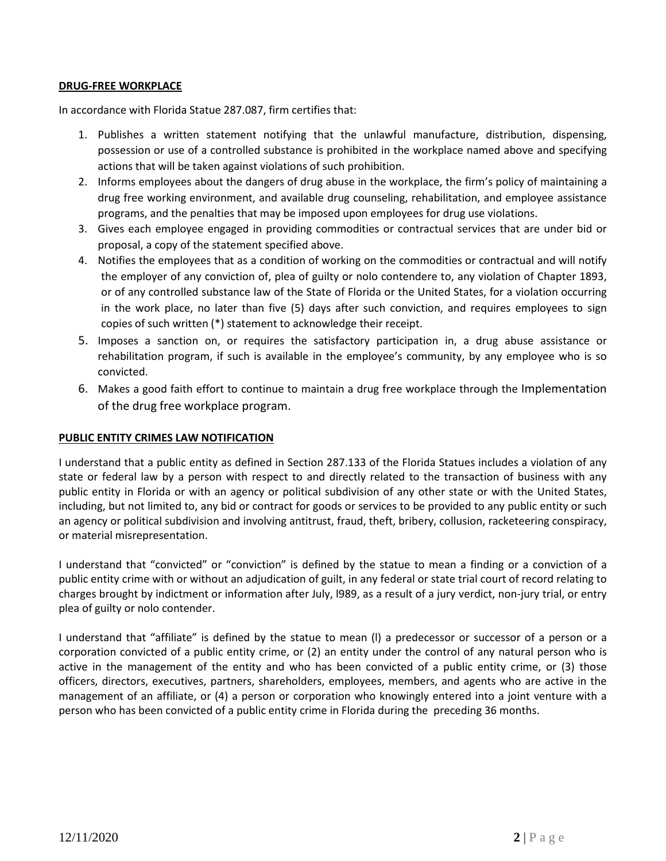## **DRUG-FREE WORKPLACE**

In accordance with Florida Statue 287.087, firm certifies that:

- 1. Publishes a written statement notifying that the unlawful manufacture, distribution, dispensing, possession or use of a controlled substance is prohibited in the workplace named above and specifying actions that will be taken against violations of such prohibition.
- 2. Informs employees about the dangers of drug abuse in the workplace, the firm's policy of maintaining a drug free working environment, and available drug counseling, rehabilitation, and employee assistance programs, and the penalties that may be imposed upon employees for drug use violations.
- 3. Gives each employee engaged in providing commodities or contractual services that are under bid or proposal, a copy of the statement specified above.
- 4. Notifies the employees that as a condition of working on the commodities or contractual and will notify the employer of any conviction of, plea of guilty or nolo contendere to, any violation of Chapter 1893, or of any controlled substance law of the State of Florida or the United States, for a violation occurring in the work place, no later than five (5) days after such conviction, and requires employees to sign copies of such written (\*) statement to acknowledge their receipt.
- 5. Imposes a sanction on, or requires the satisfactory participation in, a drug abuse assistance or rehabilitation program, if such is available in the employee's community, by any employee who is so convicted.
- 6. Makes a good faith effort to continue to maintain a drug free workplace through the Implementation of the drug free workplace program.

#### **PUBLIC ENTITY CRIMES LAW NOTIFICATION**

I understand that a public entity as defined in Section 287.133 of the Florida Statues includes a violation of any state or federal law by a person with respect to and directly related to the transaction of business with any public entity in Florida or with an agency or political subdivision of any other state or with the United States, including, but not limited to, any bid or contract for goods or services to be provided to any public entity or such an agency or political subdivision and involving antitrust, fraud, theft, bribery, collusion, racketeering conspiracy, or material misrepresentation.

I understand that "convicted" or "conviction" is defined by the statue to mean a finding or a conviction of a public entity crime with or without an adjudication of guilt, in any federal or state trial court of record relating to charges brought by indictment or information after July, l989, as a result of a jury verdict, non-jury trial, or entry plea of guilty or nolo contender.

I understand that "affiliate" is defined by the statue to mean (l) a predecessor or successor of a person or a corporation convicted of a public entity crime, or (2) an entity under the control of any natural person who is active in the management of the entity and who has been convicted of a public entity crime, or (3) those officers, directors, executives, partners, shareholders, employees, members, and agents who are active in the management of an affiliate, or (4) a person or corporation who knowingly entered into a joint venture with a person who has been convicted of a public entity crime in Florida during the preceding 36 months.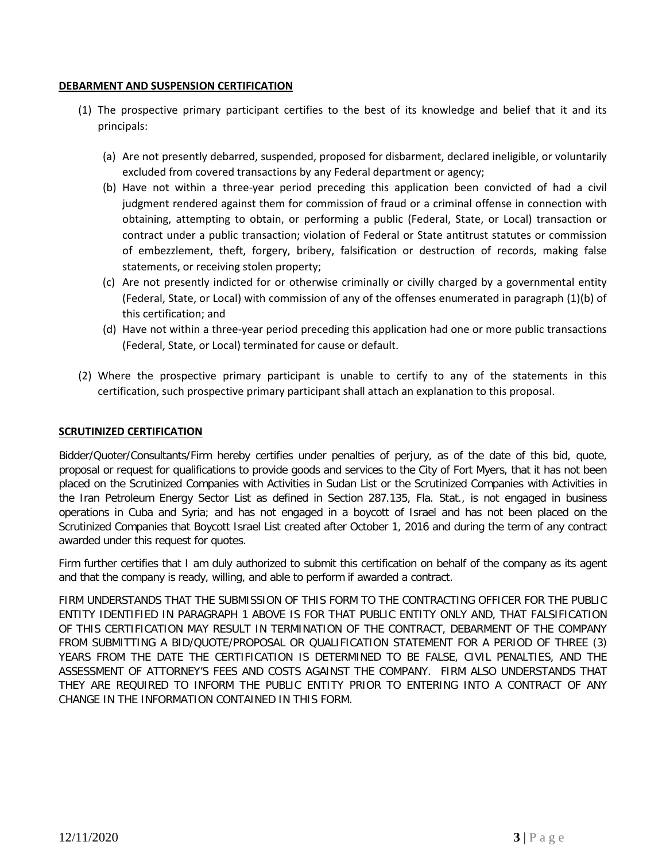## **DEBARMENT AND SUSPENSION CERTIFICATION**

- (1) The prospective primary participant certifies to the best of its knowledge and belief that it and its principals:
	- (a) Are not presently debarred, suspended, proposed for disbarment, declared ineligible, or voluntarily excluded from covered transactions by any Federal department or agency;
	- (b) Have not within a three-year period preceding this application been convicted of had a civil judgment rendered against them for commission of fraud or a criminal offense in connection with obtaining, attempting to obtain, or performing a public (Federal, State, or Local) transaction or contract under a public transaction; violation of Federal or State antitrust statutes or commission of embezzlement, theft, forgery, bribery, falsification or destruction of records, making false statements, or receiving stolen property;
	- (c) Are not presently indicted for or otherwise criminally or civilly charged by a governmental entity (Federal, State, or Local) with commission of any of the offenses enumerated in paragraph (1)(b) of this certification; and
	- (d) Have not within a three-year period preceding this application had one or more public transactions (Federal, State, or Local) terminated for cause or default.
- (2) Where the prospective primary participant is unable to certify to any of the statements in this certification, such prospective primary participant shall attach an explanation to this proposal.

# **SCRUTINIZED CERTIFICATION**

Bidder/Quoter/Consultants/Firm hereby certifies under penalties of perjury, as of the date of this bid, quote, proposal or request for qualifications to provide goods and services to the City of Fort Myers, that it has not been placed on the Scrutinized Companies with Activities in Sudan List or the Scrutinized Companies with Activities in the Iran Petroleum Energy Sector List as defined in Section 287.135, Fla. Stat., is not engaged in business operations in Cuba and Syria; and has not engaged in a boycott of Israel and has not been placed on the Scrutinized Companies that Boycott Israel List created after October 1, 2016 and during the term of any contract awarded under this request for quotes.

Firm further certifies that I am duly authorized to submit this certification on behalf of the company as its agent and that the company is ready, willing, and able to perform if awarded a contract.

FIRM UNDERSTANDS THAT THE SUBMISSION OF THIS FORM TO THE CONTRACTING OFFICER FOR THE PUBLIC ENTITY IDENTIFIED IN PARAGRAPH 1 ABOVE IS FOR THAT PUBLIC ENTITY ONLY AND, THAT FALSIFICATION OF THIS CERTIFICATION MAY RESULT IN TERMINATION OF THE CONTRACT, DEBARMENT OF THE COMPANY FROM SUBMITTING A BID/QUOTE/PROPOSAL OR QUALIFICATION STATEMENT FOR A PERIOD OF THREE (3) YEARS FROM THE DATE THE CERTIFICATION IS DETERMINED TO BE FALSE, CIVIL PENALTIES, AND THE ASSESSMENT OF ATTORNEY'S FEES AND COSTS AGAINST THE COMPANY. FIRM ALSO UNDERSTANDS THAT THEY ARE REQUIRED TO INFORM THE PUBLIC ENTITY PRIOR TO ENTERING INTO A CONTRACT OF ANY CHANGE IN THE INFORMATION CONTAINED IN THIS FORM.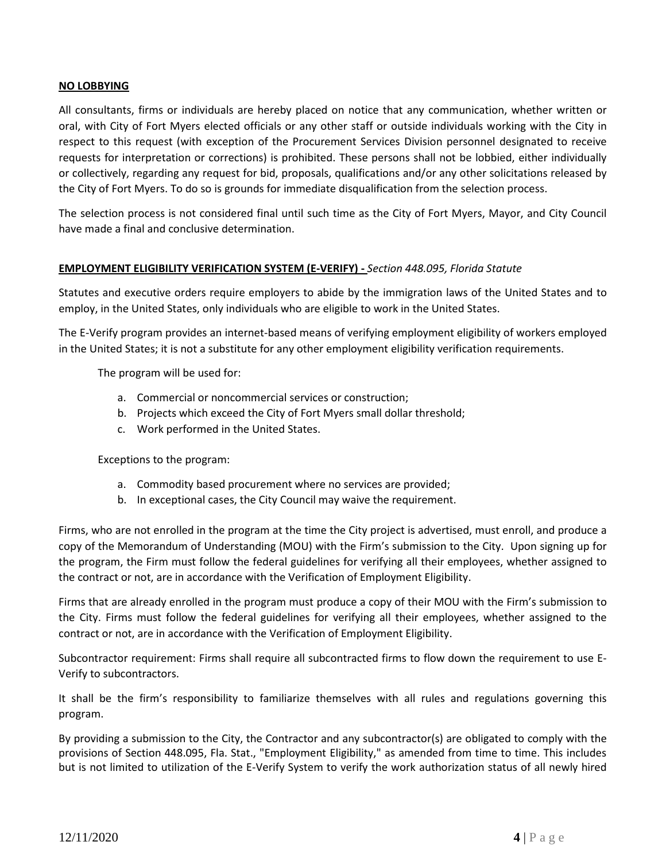# **NO LOBBYING**

All consultants, firms or individuals are hereby placed on notice that any communication, whether written or oral, with City of Fort Myers elected officials or any other staff or outside individuals working with the City in respect to this request (with exception of the Procurement Services Division personnel designated to receive requests for interpretation or corrections) is prohibited. These persons shall not be lobbied, either individually or collectively, regarding any request for bid, proposals, qualifications and/or any other solicitations released by the City of Fort Myers. To do so is grounds for immediate disqualification from the selection process.

The selection process is not considered final until such time as the City of Fort Myers, Mayor, and City Council have made a final and conclusive determination.

# **EMPLOYMENT ELIGIBILITY VERIFICATION SYSTEM (E-VERIFY) -** *Section 448.095, Florida Statute*

Statutes and executive orders require employers to abide by the immigration laws of the United States and to employ, in the United States, only individuals who are eligible to work in the United States.

The E-Verify program provides an internet-based means of verifying employment eligibility of workers employed in the United States; it is not a substitute for any other employment eligibility verification requirements.

The program will be used for:

- a. Commercial or noncommercial services or construction;
- b. Projects which exceed the City of Fort Myers small dollar threshold;
- c. Work performed in the United States.

Exceptions to the program:

- a. Commodity based procurement where no services are provided;
- b. In exceptional cases, the City Council may waive the requirement.

Firms, who are not enrolled in the program at the time the City project is advertised, must enroll, and produce a copy of the Memorandum of Understanding (MOU) with the Firm's submission to the City. Upon signing up for the program, the Firm must follow the federal guidelines for verifying all their employees, whether assigned to the contract or not, are in accordance with the Verification of Employment Eligibility.

Firms that are already enrolled in the program must produce a copy of their MOU with the Firm's submission to the City. Firms must follow the federal guidelines for verifying all their employees, whether assigned to the contract or not, are in accordance with the Verification of Employment Eligibility.

Subcontractor requirement: Firms shall require all subcontracted firms to flow down the requirement to use E-Verify to subcontractors.

It shall be the firm's responsibility to familiarize themselves with all rules and regulations governing this program.

By providing a submission to the City, the Contractor and any subcontractor(s) are obligated to comply with the provisions of Section 448.095, Fla. Stat., "Employment Eligibility," as amended from time to time. This includes but is not limited to utilization of the E-Verify System to verify the work authorization status of all newly hired